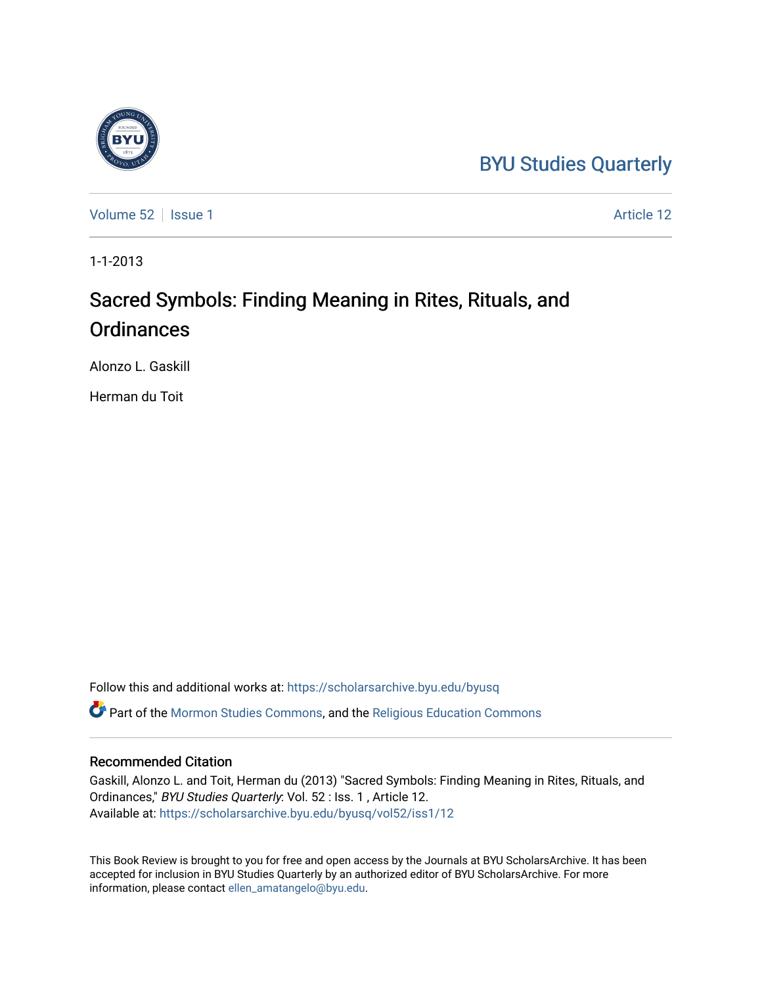## [BYU Studies Quarterly](https://scholarsarchive.byu.edu/byusq)

[Volume 52](https://scholarsarchive.byu.edu/byusq/vol52) | [Issue 1](https://scholarsarchive.byu.edu/byusq/vol52/iss1) Article 12

1-1-2013

## Sacred Symbols: Finding Meaning in Rites, Rituals, and **Ordinances**

Alonzo L. Gaskill

Herman du Toit

Follow this and additional works at: [https://scholarsarchive.byu.edu/byusq](https://scholarsarchive.byu.edu/byusq?utm_source=scholarsarchive.byu.edu%2Fbyusq%2Fvol52%2Fiss1%2F12&utm_medium=PDF&utm_campaign=PDFCoverPages) 

Part of the [Mormon Studies Commons](http://network.bepress.com/hgg/discipline/1360?utm_source=scholarsarchive.byu.edu%2Fbyusq%2Fvol52%2Fiss1%2F12&utm_medium=PDF&utm_campaign=PDFCoverPages), and the [Religious Education Commons](http://network.bepress.com/hgg/discipline/1414?utm_source=scholarsarchive.byu.edu%2Fbyusq%2Fvol52%2Fiss1%2F12&utm_medium=PDF&utm_campaign=PDFCoverPages) 

## Recommended Citation

Gaskill, Alonzo L. and Toit, Herman du (2013) "Sacred Symbols: Finding Meaning in Rites, Rituals, and Ordinances," BYU Studies Quarterly: Vol. 52 : Iss. 1, Article 12. Available at: [https://scholarsarchive.byu.edu/byusq/vol52/iss1/12](https://scholarsarchive.byu.edu/byusq/vol52/iss1/12?utm_source=scholarsarchive.byu.edu%2Fbyusq%2Fvol52%2Fiss1%2F12&utm_medium=PDF&utm_campaign=PDFCoverPages) 

This Book Review is brought to you for free and open access by the Journals at BYU ScholarsArchive. It has been accepted for inclusion in BYU Studies Quarterly by an authorized editor of BYU ScholarsArchive. For more information, please contact [ellen\\_amatangelo@byu.edu.](mailto:ellen_amatangelo@byu.edu)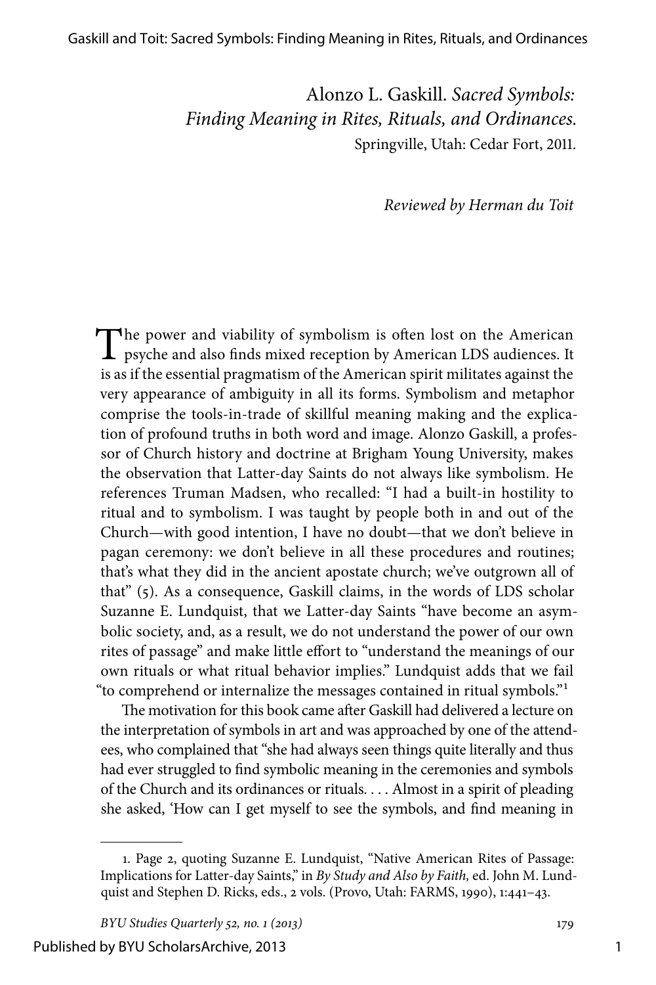Alonzo L. Gaskill. *Sacred Symbols: Finding Meaning in Rites, Rituals, and Ordinances.* Springville, Utah: Cedar Fort, 2011.

*Reviewed by Herman du Toit*

The power and viability of symbolism is often lost on the American psyche and also finds mixed reception by American LDS audiences. It is as if the essential pragmatism of the American spirit militates against the very appearance of ambiguity in all its forms. Symbolism and metaphor comprise the tools-in-trade of skillful meaning making and the explication of profound truths in both word and image. Alonzo Gaskill, a professor of Church history and doctrine at Brigham Young University, makes the observation that Latter-day Saints do not always like symbolism. He references Truman Madsen, who recalled: "I had a built-in hostility to ritual and to symbolism. I was taught by people both in and out of the Church—with good intention, I have no doubt—that we don't believe in pagan ceremony: we don't believe in all these procedures and routines; that's what they did in the ancient apostate church; we've outgrown all of that" (5). As a consequence, Gaskill claims, in the words of LDS scholar Suzanne E. Lundquist, that we Latter-day Saints "have become an asymbolic society, and, as a result, we do not understand the power of our own rites of passage" and make little effort to "understand the meanings of our own rituals or what ritual behavior implies." Lundquist adds that we fail "to comprehend or internalize the messages contained in ritual symbols."1

The motivation for this book came after Gaskill had delivered a lecture on the interpretation of symbols in art and was approached by one of the attendees, who complained that "she had always seen things quite literally and thus had ever struggled to find symbolic meaning in the ceremonies and symbols of the Church and its ordinances or rituals. . . . Almost in a spirit of pleading she asked, 'How can I get myself to see the symbols, and find meaning in

Published by BYU ScholarsArchive, 2013

<sup>1.</sup> Page 2, quoting Suzanne E. Lundquist, "Native American Rites of Passage: Implications for Latter-day Saints," in *By Study and Also by Faith,* ed. John M. Lundquist and Stephen D. Ricks, eds., 2 vols. (Provo, Utah: FARMS, 1990), 1:441–43.

*BYU Studies Quarterly 52, no. 1 (2013)* 179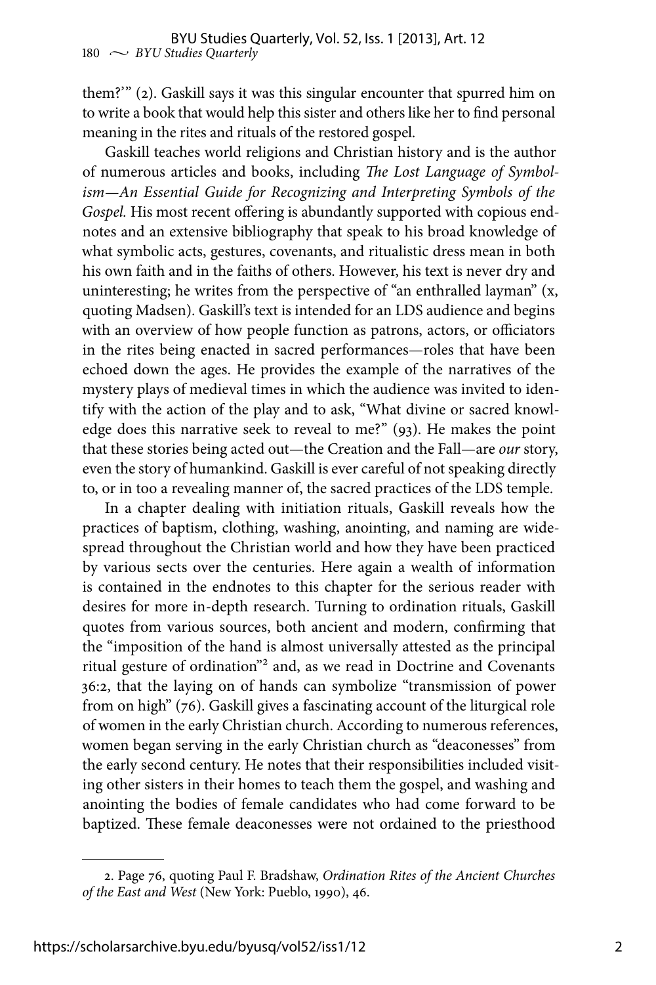them?'" (2). Gaskill says it was this singular encounter that spurred him on to write a book that would help this sister and others like her to find personal meaning in the rites and rituals of the restored gospel.

Gaskill teaches world religions and Christian history and is the author of numerous articles and books, including *The Lost Language of Symbolism—An Essential Guide for Recognizing and Interpreting Symbols of the Gospel.* His most recent offering is abundantly supported with copious endnotes and an extensive bibliography that speak to his broad knowledge of what symbolic acts, gestures, covenants, and ritualistic dress mean in both his own faith and in the faiths of others. However, his text is never dry and uninteresting; he writes from the perspective of "an enthralled layman" (x, quoting Madsen). Gaskill's text is intended for an LDS audience and begins with an overview of how people function as patrons, actors, or officiators in the rites being enacted in sacred performances—roles that have been echoed down the ages. He provides the example of the narratives of the mystery plays of medieval times in which the audience was invited to identify with the action of the play and to ask, "What divine or sacred knowledge does this narrative seek to reveal to me?" (93). He makes the point that these stories being acted out—the Creation and the Fall—are *our* story, even the story of humankind. Gaskill is ever careful of not speaking directly to, or in too a revealing manner of, the sacred practices of the LDS temple.

In a chapter dealing with initiation rituals, Gaskill reveals how the practices of baptism, clothing, washing, anointing, and naming are widespread throughout the Christian world and how they have been practiced by various sects over the centuries. Here again a wealth of information is contained in the endnotes to this chapter for the serious reader with desires for more in-depth research. Turning to ordination rituals, Gaskill quotes from various sources, both ancient and modern, confirming that the "imposition of the hand is almost universally attested as the principal ritual gesture of ordination"2 and, as we read in Doctrine and Covenants 36:2, that the laying on of hands can symbolize "transmission of power from on high" (76). Gaskill gives a fascinating account of the liturgical role of women in the early Christian church. According to numerous references, women began serving in the early Christian church as "deaconesses" from the early second century. He notes that their responsibilities included visiting other sisters in their homes to teach them the gospel, and washing and anointing the bodies of female candidates who had come forward to be baptized. These female deaconesses were not ordained to the priesthood

<sup>2.</sup> Page 76, quoting Paul F. Bradshaw, *Ordination Rites of the Ancient Churches of the East and West* (New York: Pueblo, 1990), 46.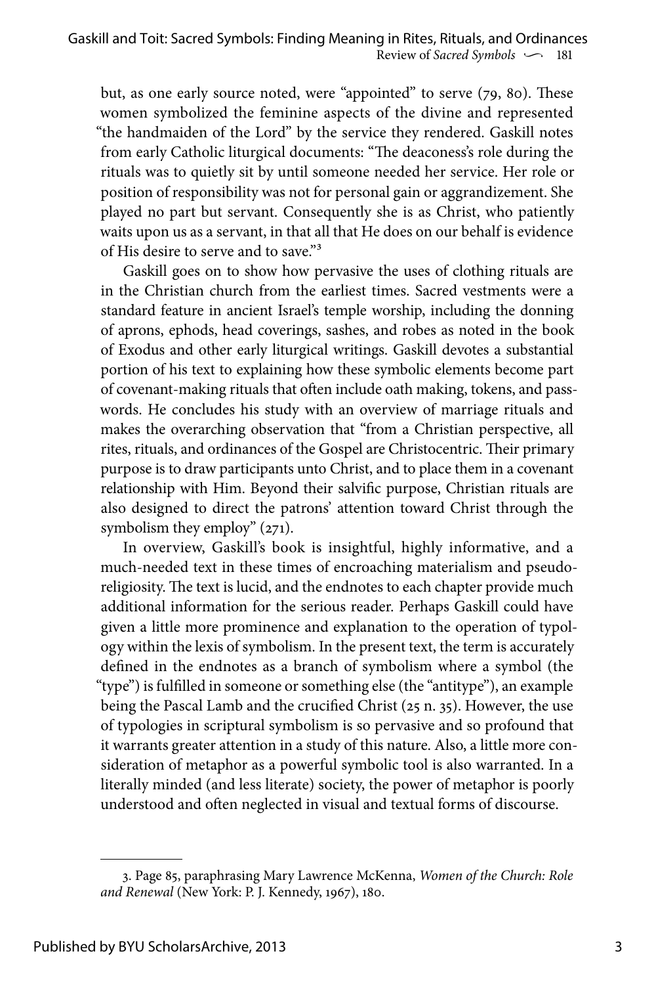but, as one early source noted, were "appointed" to serve (79, 80). These women symbolized the feminine aspects of the divine and represented "the handmaiden of the Lord" by the service they rendered. Gaskill notes from early Catholic liturgical documents: "The deaconess's role during the rituals was to quietly sit by until someone needed her service. Her role or position of responsibility was not for personal gain or aggrandizement. She played no part but servant. Consequently she is as Christ, who patiently waits upon us as a servant, in that all that He does on our behalf is evidence of His desire to serve and to save."3

Gaskill goes on to show how pervasive the uses of clothing rituals are in the Christian church from the earliest times. Sacred vestments were a standard feature in ancient Israel's temple worship, including the donning of aprons, ephods, head coverings, sashes, and robes as noted in the book of Exodus and other early liturgical writings. Gaskill devotes a substantial portion of his text to explaining how these symbolic elements become part of covenant-making rituals that often include oath making, tokens, and passwords. He concludes his study with an overview of marriage rituals and makes the overarching observation that "from a Christian perspective, all rites, rituals, and ordinances of the Gospel are Christocentric. Their primary purpose is to draw participants unto Christ, and to place them in a covenant relationship with Him. Beyond their salvific purpose, Christian rituals are also designed to direct the patrons' attention toward Christ through the symbolism they employ" (271).

In overview, Gaskill's book is insightful, highly informative, and a much-needed text in these times of encroaching materialism and pseudoreligiosity. The text is lucid, and the endnotes to each chapter provide much additional information for the serious reader. Perhaps Gaskill could have given a little more prominence and explanation to the operation of typology within the lexis of symbolism. In the present text, the term is accurately defined in the endnotes as a branch of symbolism where a symbol (the "type") is fulfilled in someone or something else (the "antitype"), an example being the Pascal Lamb and the crucified Christ (25 n. 35). However, the use of typologies in scriptural symbolism is so pervasive and so profound that it warrants greater attention in a study of this nature. Also, a little more consideration of metaphor as a powerful symbolic tool is also warranted. In a literally minded (and less literate) society, the power of metaphor is poorly understood and often neglected in visual and textual forms of discourse.

<sup>3.</sup> Page 85, paraphrasing Mary Lawrence McKenna, *Women of the Church: Role and Renewal* (New York: P. J. Kennedy, 1967), 180.